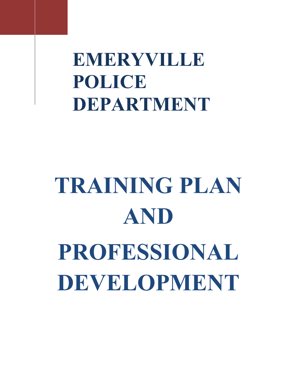**EMERYVILLE POLICE DEPARTMENT**

# **TRAINING PLAN AND PROFESSIONAL DEVELOPMENT**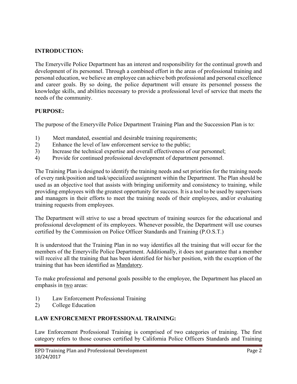#### **INTRODUCTION:**

The Emeryville Police Department has an interest and responsibility for the continual growth and development of its personnel. Through a combined effort in the areas of professional training and personal education, we believe an employee can achieve both professional and personal excellence and career goals. By so doing, the police department will ensure its personnel possess the knowledge skills, and abilities necessary to provide a professional level of service that meets the needs of the community.

#### **PURPOSE:**

The purpose of the Emeryville Police Department Training Plan and the Succession Plan is to:

- 1) Meet mandated, essential and desirable training requirements;
- 2) Enhance the level of law enforcement service to the public;
- 3) Increase the technical expertise and overall effectiveness of our personnel;
- 4) Provide for continued professional development of department personnel.

The Training Plan is designed to identify the training needs and set priorities for the training needs of every rank/position and task/specialized assignment within the Department. The Plan should be used as an objective tool that assists with bringing uniformity and consistency to training, while providing employees with the greatest opportunity for success. It is a tool to be used by supervisors and managers in their efforts to meet the training needs of their employees, and/or evaluating training requests from employees.

The Department will strive to use a broad spectrum of training sources for the educational and professional development of its employees. Whenever possible, the Department will use courses certified by the Commission on Police Officer Standards and Training (P.O.S.T.)

It is understood that the Training Plan in no way identifies all the training that will occur for the members of the Emeryville Police Department. Additionally, it does not guarantee that a member will receive all the training that has been identified for his/her position, with the exception of the training that has been identified as Mandatory.

To make professional and personal goals possible to the employee, the Department has placed an emphasis in two areas:

- 1) Law Enforcement Professional Training
- 2) College Education

#### **LAW ENFORCEMENT PROFESSIONAL TRAINING:**

Law Enforcement Professional Training is comprised of two categories of training. The first category refers to those courses certified by California Police Officers Standards and Training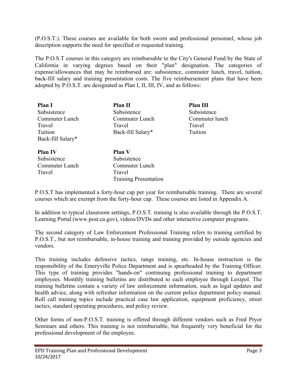(P.O.S.T.). These courses are available for both sworn and professional personnel, whose job description supports the need for specified or requested training.

The P.O.S.T courses in this category are reimbursable to the City's General Fund by the State of California in varying degrees based on their "plan" designation. The categories of expense/allowances that may be reimbursed are: subsistence, commuter lunch, travel, tuition, back-fill salary and training presentation costs. The five reimbursement plans that have been adopted by P.O.S.T. are designated as Plan I, II, III, IV, and as follows:

| <b>Plan I</b>     | Plan II                      | Plan III       |
|-------------------|------------------------------|----------------|
| Subsistence       | Subsistence                  | Subsistence    |
| Commuter Lunch    | Commuter Lunch               | Commuter lunch |
| Travel            | Travel                       | Travel         |
| Tuition           | Back-fill Salary*            | Tuition        |
| Back-fill Salary* |                              |                |
| <b>Plan IV</b>    | <b>Plan V</b>                |                |
| Subsistence       | Subsistence                  |                |
| Commuter Lunch    | Commuter Lunch               |                |
| Travel            | Travel                       |                |
|                   | <b>Training Presentation</b> |                |

P.O.S.T has implemented a forty-hour cap per year for reimbursable training. There are several courses which are exempt from the forty-hour cap. These courses are listed in Appendix A.

In addition to typical classroom settings, P.O.S.T. training is also available through the P.O.S.T. Learning Portal (www.post.ca.gov), videos/DVDs and other interactive computer programs.

The second category of Law Enforcement Professional Training refers to training certified by P.O.S.T., but not reimbursable, in-house training and training provided by outside agencies and vendors.

This training includes defensive tactics, range training, etc. In-house instruction is the responsibility of the Emeryville Police Department and is spearheaded by the Training Officer. This type of training provides "hands-on" continuing professional training to department employees. Monthly training bulletins are distributed to each employee through Lexipol. The training bulletins contain a variety of law enforcement information, such as legal updates and health advice, along with refresher information on the current police department policy manual. Roll call training topics include practical case law application, equipment proficiency, street tactics, standard operating procedures, and policy review.

Other forms of non-P.O.S.T. training is offered through different vendors such as Fred Pryor Seminars and others. This training is not reimbursable, but frequently very beneficial for the professional development of the employee.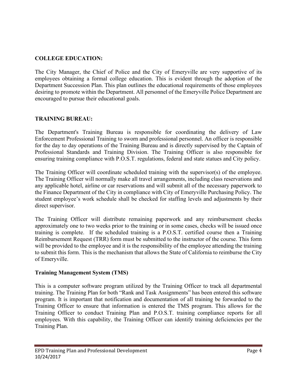#### **COLLEGE EDUCATION:**

The City Manager, the Chief of Police and the City of Emeryville are very supportive of its employees obtaining a formal college education. This is evident through the adoption of the Department Succession Plan. This plan outlines the educational requirements of those employees desiring to promote within the Department. All personnel of the Emeryville Police Department are encouraged to pursue their educational goals.

#### **TRAINING BUREAU:**

The Department's Training Bureau is responsible for coordinating the delivery of Law Enforcement Professional Training to sworn and professional personnel. An officer is responsible for the day to day operations of the Training Bureau and is directly supervised by the Captain of Professional Standards and Training Division. The Training Officer is also responsible for ensuring training compliance with P.O.S.T. regulations, federal and state statues and City policy.

The Training Officer will coordinate scheduled training with the supervisor(s) of the employee. The Training Officer will normally make all travel arrangements, including class reservations and any applicable hotel, airline or car reservations and will submit all of the necessary paperwork to the Finance Department of the City in compliance with City of Emeryville Purchasing Policy. The student employee's work schedule shall be checked for staffing levels and adjustments by their direct supervisor.

The Training Officer will distribute remaining paperwork and any reimbursement checks approximately one to two weeks prior to the training or in some cases, checks will be issued once training is complete. If the scheduled training is a P.O.S.T. certified course then a Training Reimbursement Request (TRR) form must be submitted to the instructor of the course. This form will be provided to the employee and it is the responsibility of the employee attending the training to submit this form. This is the mechanism that allows the State of California to reimburse the City of Emeryville.

#### **Training Management System (TMS)**

This is a computer software program utilized by the Training Officer to track all departmental training. The Training Plan for both "Rank and Task Assignments" has been entered this software program. It is important that notification and documentation of all training be forwarded to the Training Officer to ensure that information is entered the TMS program. This allows for the Training Officer to conduct Training Plan and P.O.S.T. training compliance reports for all employees. With this capability, the Training Officer can identify training deficiencies per the Training Plan.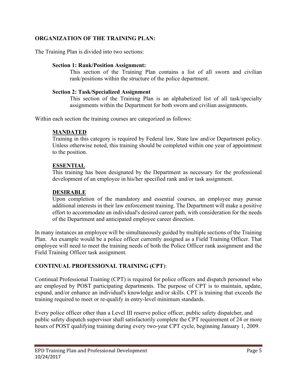#### **ORGANIZATION OF THE TRAINING PLAN:**

The Training Plan is divided into two sections:

#### **Section 1: Rank/Position Assignment:**

This section of the Training Plan contains a list of all sworn and civilian rank/positions within the structure of the police department.

#### **Section 2: Task/Specialized Assignment**

This section of the Training Plan is an alphabetized list of all task/specialty assignments within the Department for both sworn and civilian assignments.

Within each section the training courses are categorized as follows:

#### **MANDATED**

Training in this category is required by Federal law, State law and/or Department policy. Unless otherwise noted, this training should be completed within one year of appointment to the position.

#### **ESSENTIAL**

This training has been designated by the Department as necessary for the professional development of an employee in his/her specified rank and/or task assignment.

#### **DESIRABLE**

Upon completion of the mandatory and essential courses, an employee may pursue additional interests in their law enforcement training. The Department will make a positive effort to accommodate an individual's desired career path, with consideration for the needs of the Department and anticipated employee career direction.

In many instances an employee will be simultaneously guided by multiple sections of the Training Plan. An example would be a police officer currently assigned as a Field Training Officer. That employee will need to meet the training needs of both the Police Officer rank assignment and the Field Training Officer task assignment.

#### **CONTINUAL PROFESSIONAL TRAINING (CPT**):

Continual Professional Training (CPT) is required for police officers and dispatch personnel who are employed by POST participating departments. The purpose of CPT is to maintain, update, expand, and/or enhance an individual's knowledge and/or skills. CPT is training that exceeds the training required to meet or re-qualify in entry-level minimum standards.

Every police officer other than a Level III reserve police officer, public safety dispatcher, and public safety dispatch supervisor shall satisfactorily complete the CPT requirement of 24 or more hours of POST qualifying training during every two-year CPT cycle, beginning January 1, 2009.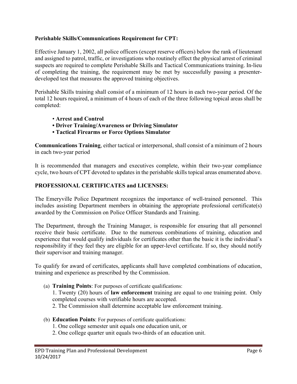#### **Perishable Skills/Communications Requirement for CPT:**

Effective January 1, 2002, all police officers (except reserve officers) below the rank of lieutenant and assigned to patrol, traffic, or investigations who routinely effect the physical arrest of criminal suspects are required to complete Perishable Skills and Tactical Communications training. In-lieu of completing the training, the requirement may be met by successfully passing a presenterdeveloped test that measures the approved training objectives.

Perishable Skills training shall consist of a minimum of 12 hours in each two-year period. Of the total 12 hours required, a minimum of 4 hours of each of the three following topical areas shall be completed:

- **Arrest and Control**
- **Driver Training/Awareness or Driving Simulator**
- **Tactical Firearms or Force Options Simulator**

**Communications Training**, either tactical or interpersonal, shall consist of a minimum of 2 hours in each two-year period

It is recommended that managers and executives complete, within their two-year compliance cycle, two hours of CPT devoted to updates in the perishable skills topical areas enumerated above.

#### **PROFESSIONAL CERTIFICATES and LICENSES:**

The Emeryville Police Department recognizes the importance of well-trained personnel. This includes assisting Department members in obtaining the appropriate professional certificate(s) awarded by the Commission on Police Officer Standards and Training.

The Department, through the Training Manager, is responsible for ensuring that all personnel receive their basic certificate. Due to the numerous combinations of training, education and experience that would qualify individuals for certificates other than the basic it is the individual's responsibility if they feel they are eligible for an upper-level certificate. If so, they should notify their supervisor and training manager.

To qualify for award of certificates, applicants shall have completed combinations of education, training and experience as prescribed by the Commission.

(a) **Training Points**: For purposes of certificate qualifications:

1. Twenty (20) hours of **law enforcement** training are equal to one training point. Only completed courses with verifiable hours are accepted.

- 2. The Commission shall determine acceptable law enforcement training.
- (b) **Education Points**: For purposes of certificate qualifications:
	- 1. One college semester unit equals one education unit, or
	- 2. One college quarter unit equals two-thirds of an education unit.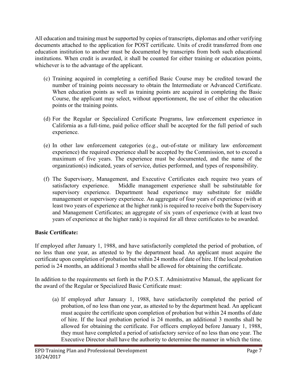All education and training must be supported by copies of transcripts, diplomas and other verifying documents attached to the application for POST certificate. Units of credit transferred from one education institution to another must be documented by transcripts from both such educational institutions. When credit is awarded, it shall be counted for either training or education points, whichever is to the advantage of the applicant.

- (c) Training acquired in completing a certified Basic Course may be credited toward the number of training points necessary to obtain the Intermediate or Advanced Certificate. When education points as well as training points are acquired in completing the Basic Course, the applicant may select, without apportionment, the use of either the education points or the training points.
- (d) For the Regular or Specialized Certificate Programs, law enforcement experience in California as a full-time, paid police officer shall be accepted for the full period of such experience.
- (e) In other law enforcement categories (e.g., out-of-state or military law enforcement experience) the required experience shall be accepted by the Commission, not to exceed a maximum of five years. The experience must be documented, and the name of the organization(s) indicated, years of service, duties performed, and types of responsibility.
- (f) The Supervisory, Management, and Executive Certificates each require two years of satisfactory experience. Middle management experience shall be substitutable for supervisory experience. Department head experience may substitute for middle management or supervisory experience. An aggregate of four years of experience (with at least two years of experience at the higher rank) is required to receive both the Supervisory and Management Certificates; an aggregate of six years of experience (with at least two years of experience at the higher rank) is required for all three certificates to be awarded.

#### **Basic Certificate:**

If employed after January 1, 1988, and have satisfactorily completed the period of probation, of no less than one year, as attested to by the department head. An applicant must acquire the certificate upon completion of probation but within 24 months of date of hire. If the local probation period is 24 months, an additional 3 months shall be allowed for obtaining the certificate.

In addition to the requirements set forth in the P.O.S.T. Administrative Manual, the applicant for the award of the Regular or Specialized Basic Certificate must:

(a) If employed after January 1, 1988, have satisfactorily completed the period of probation, of no less than one year, as attested to by the department head. An applicant must acquire the certificate upon completion of probation but within 24 months of date of hire. If the local probation period is 24 months, an additional 3 months shall be allowed for obtaining the certificate. For officers employed before January 1, 1988, they must have completed a period of satisfactory service of no less than one year. The Executive Director shall have the authority to determine the manner in which the time.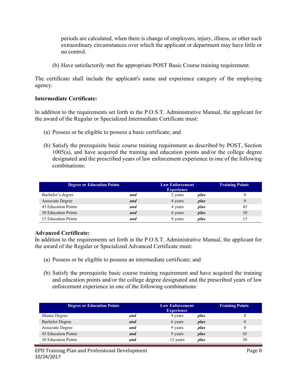periods are calculated, when there is change of employers, injury, illness, or other such extraordinary circumstances over which the applicant or department may have little or no control.

(b) Have satisfactorily met the appropriate POST Basic Course training requirement.

The certificate shall include the applicant's name and experience category of the employing agency.

#### **Intermediate Certificate:**

In addition to the requirements set forth in the P.O.S.T. Administrative Manual, the applicant for the award of the Regular or Specialized Intermediate Certificate must:

- (a) Possess or be eligible to possess a basic certificate; and
- (b) Satisfy the prerequisite basic course training requirement as described by POST, Section 1005(a), and have acquired the training and education points and/or the college degree designated and the prescribed years of law enforcement experience in one of the following combinations:

| <b>Degree or Education Points</b> |     | <b>Law Enforcement</b><br><b>Experience</b> |      | <b>Training Points</b> |
|-----------------------------------|-----|---------------------------------------------|------|------------------------|
| Bachelor's degree                 | and | 2 years                                     | plus |                        |
| Associate Degree                  | and | 4 years                                     | plus |                        |
| 45 Education Points               | and | 4 years                                     | plus | 45                     |
| 30 Education Points               | and | 6 years                                     | plus | 30                     |
| 15 Education Points               | and | 8 years                                     | plus |                        |

#### **Advanced Certificate:**

In addition to the requirements set forth in the P.O.S.T. Administrative Manual, the applicant for the award of the Regular or Specialized Advanced Certificate must:

- (a) Possess or be eligible to possess an intermediate certificate; and
- (b) Satisfy the prerequisite basic course training requirement and have acquired the training and education points and/or the college degree designated and the prescribed years of law enforcement experience in one of the following combinations:

| <b>Degree or Education Points</b> |     | <b>Law Enforcement</b><br><b>Experience</b> |      | <b>Training Points</b> |
|-----------------------------------|-----|---------------------------------------------|------|------------------------|
| Master Degree                     | and | 4 years                                     | plus |                        |
| <b>Bachelor Degree</b>            | and | 6 years                                     | plus |                        |
| Associate Degree                  | and | 9 years                                     | plus |                        |
| 45 Education Points               | and | 9 years                                     | plus | 45                     |
| 30 Education Points               | and | 12 years                                    | plus | 30                     |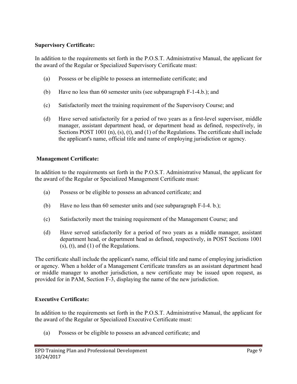#### **Supervisory Certificate:**

In addition to the requirements set forth in the P.O.S.T. Administrative Manual, the applicant for the award of the Regular or Specialized Supervisory Certificate must:

- (a) Possess or be eligible to possess an intermediate certificate; and
- (b) Have no less than 60 semester units (see subparagraph F-1-4.b.); and
- (c) Satisfactorily meet the training requirement of the Supervisory Course; and
- (d) Have served satisfactorily for a period of two years as a first-level supervisor, middle manager, assistant department head, or department head as defined, respectively, in Sections POST 1001 (n), (s), (t), and (1) of the Regulations. The certificate shall include the applicant's name, official title and name of employing jurisdiction or agency.

#### **Management Certificate:**

In addition to the requirements set forth in the P.O.S.T. Administrative Manual, the applicant for the award of the Regular or Specialized Management Certificate must:

- (a) Possess or be eligible to possess an advanced certificate; and
- (b) Have no less than 60 semester units and (see subparagraph F-I-4. b.);
- (c) Satisfactorily meet the training requirement of the Management Course; and
- (d) Have served satisfactorily for a period of two years as a middle manager, assistant department head, or department head as defined, respectively, in POST Sections 1001 (s), (t), and (1) of the Regulations.

The certificate shall include the applicant's name, official title and name of employing jurisdiction or agency. When a holder of a Management Certificate transfers as an assistant department head or middle manager to another jurisdiction, a new certificate may be issued upon request, as provided for in PAM, Section F-3, displaying the name of the new jurisdiction.

#### **Executive Certificate:**

In addition to the requirements set forth in the P.O.S.T. Administrative Manual, the applicant for the award of the Regular or Specialized Executive Certificate must:

(a) Possess or be eligible to possess an advanced certificate; and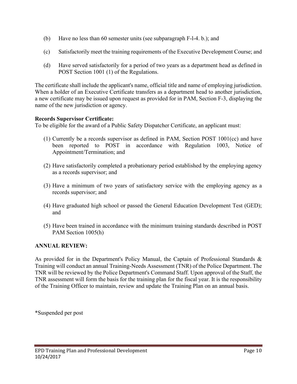- (b) Have no less than 60 semester units (see subparagraph F-l-4. b.); and
- (c) Satisfactorily meet the training requirements of the Executive Development Course; and
- (d) Have served satisfactorily for a period of two years as a department head as defined in POST Section 1001 (1) of the Regulations.

The certificate shall include the applicant's name, official title and name of employing jurisdiction. When a holder of an Executive Certificate transfers as a department head to another jurisdiction, a new certificate may be issued upon request as provided for in PAM, Section F-3, displaying the name of the new jurisdiction or agency.

#### **Records Supervisor Certificate:**

To be eligible for the award of a Public Safety Dispatcher Certificate, an applicant must:

- (1) Currently be a records supervisor as defined in PAM, Section POST 1001(cc) and have been reported to POST in accordance with Regulation 1003, Notice of Appointment/Termination; and
- (2) Have satisfactorily completed a probationary period established by the employing agency as a records supervisor; and
- (3) Have a minimum of two years of satisfactory service with the employing agency as a records supervisor; and
- (4) Have graduated high school or passed the General Education Development Test (GED); and
- (5) Have been trained in accordance with the minimum training standards described in POST PAM Section 1005(h)

#### **ANNUAL REVIEW:**

As provided for in the Department's Policy Manual, the Captain of Professional Standards & Training will conduct an annual Training-Needs Assessment (TNR) of the Police Department. The TNR will be reviewed by the Police Department's Command Staff. Upon approval of the Staff, the TNR assessment will form the basis for the training plan for the fiscal year. It is the responsibility of the Training Officer to maintain, review and update the Training Plan on an annual basis.

\*Suspended per post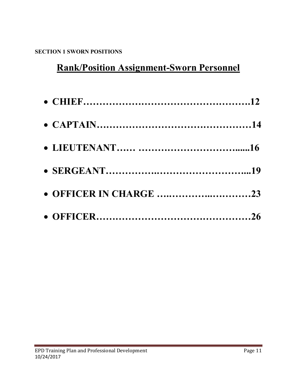### **SECTION 1 SWORN POSITIONS**

# **Rank/Position Assignment-Sworn Personnel**

| • OFFICER IN CHARGE 23 |  |
|------------------------|--|
|                        |  |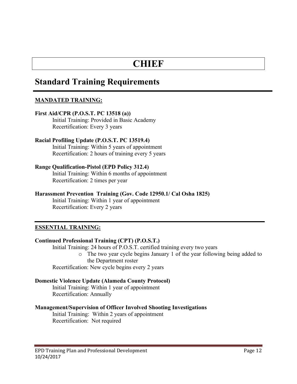## **CHIEF**

### **Standard Training Requirements**

#### **MANDATED TRAINING:**

#### **First Aid/CPR (P.O.S.T. PC 13518 (a))** Initial Training: Provided in Basic Academy Recertification: Every 3 years

#### **Racial Profiling Update (P.O.S.T. PC 13519.4)** Initial Training: Within 5 years of appointment Recertification: 2 hours of training every 5 years

#### **Range Qualification-Pistol (EPD Policy 312.4)**

Initial Training: Within 6 months of appointment Recertification: 2 times per year

#### **Harassment Prevention Training (Gov. Code 12950.1/ Cal Osha 1825)**

Initial Training: Within 1 year of appointment Recertification: Every 2 years

#### **ESSENTIAL TRAINING:**

#### **Continued Professional Training (CPT) (P.O.S.T.)**

Initial Training: 24 hours of P.O.S.T. certified training every two years

o The two year cycle begins January 1 of the year following being added to the Department roster

Recertification: New cycle begins every 2 years

#### **Domestic Violence Update (Alameda County Protocol)**

Initial Training: Within 1 year of appointment Recertification: Annually

#### **Management/Supervision of Officer Involved Shooting Investigations**

Initial Training: Within 2 years of appointment Recertification: Not required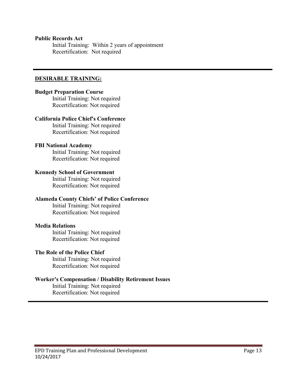#### **Public Records Act**

Initial Training: Within 2 years of appointment Recertification: Not required

#### **DESIRABLE TRAINING:**

#### **Budget Preparation Course**

Initial Training: Not required Recertification: Not required

#### **California Police Chief's Conference**

Initial Training: Not required Recertification: Not required

#### **FBI National Academy**

Initial Training: Not required Recertification: Not required

#### **Kennedy School of Government**

Initial Training: Not required Recertification: Not required

#### **Alameda County Chiefs' of Police Conference**

Initial Training: Not required Recertification: Not required

#### **Media Relations**

Initial Training: Not required Recertification: Not required

#### **The Role of the Police Chief**

Initial Training: Not required Recertification: Not required

#### **Worker's Compensation / Disability Retirement Issues**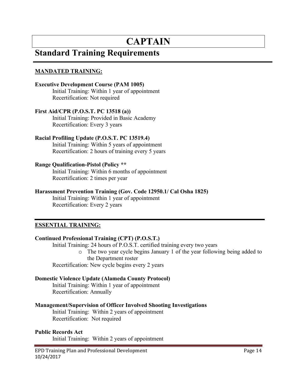# **CAPTAIN**

### **Standard Training Requirements**

#### **MANDATED TRAINING:**

#### **Executive Development Course (PAM 1005)**

Initial Training: Within 1 year of appointment Recertification: Not required

#### **First Aid/CPR (P.O.S.T. PC 13518 (a))**

Initial Training: Provided in Basic Academy Recertification: Every 3 years

#### **Racial Profiling Update (P.O.S.T. PC 13519.4)**

Initial Training: Within 5 years of appointment Recertification: 2 hours of training every 5 years

#### **Range Qualification-Pistol (Policy \*\***

Initial Training: Within 6 months of appointment Recertification: 2 times per year

#### **Harassment Prevention Training (Gov. Code 12950.1/ Cal Osha 1825)**

Initial Training: Within 1 year of appointment Recertification: Every 2 years

#### **ESSENTIAL TRAINING:**

#### **Continued Professional Training (CPT) (P.O.S.T.)**

Initial Training: 24 hours of P.O.S.T. certified training every two years

o The two year cycle begins January 1 of the year following being added to the Department roster

Recertification: New cycle begins every 2 years

#### **Domestic Violence Update (Alameda County Protocol)**

Initial Training: Within 1 year of appointment Recertification: Annually

#### **Management/Supervision of Officer Involved Shooting Investigations**

Initial Training: Within 2 years of appointment Recertification: Not required

#### **Public Records Act**

Initial Training: Within 2 years of appointment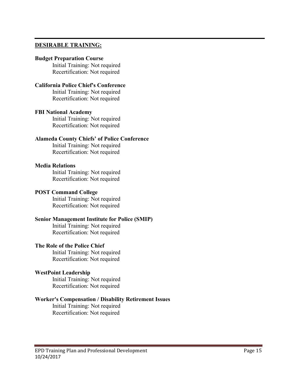#### **DESIRABLE TRAINING:**

#### **Budget Preparation Course**

Initial Training: Not required Recertification: Not required

#### **California Police Chief's Conference**

Initial Training: Not required Recertification: Not required

#### **FBI National Academy**

Initial Training: Not required Recertification: Not required

#### **Alameda County Chiefs' of Police Conference**

Initial Training: Not required Recertification: Not required

#### **Media Relations**

Initial Training: Not required Recertification: Not required

#### **POST Command College**

Initial Training: Not required Recertification: Not required

#### **Senior Management Institute for Police (SMIP)**

Initial Training: Not required Recertification: Not required

#### **The Role of the Police Chief**

Initial Training: Not required Recertification: Not required

#### **WestPoint Leadership**

Initial Training: Not required Recertification: Not required

#### **Worker's Compensation / Disability Retirement Issues**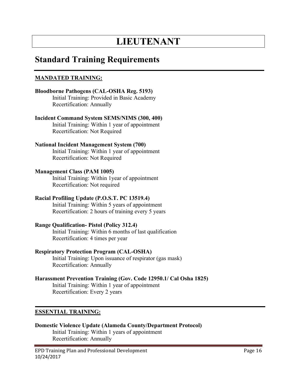# **LIEUTENANT**

### **Standard Training Requirements**

#### **MANDATED TRAINING:**

#### **Bloodborne Pathogens (CAL-OSHA Reg. 5193)** Initial Training: Provided in Basic Academy Recertification: Annually

#### **Incident Command System SEMS/NIMS (300, 400)**

Initial Training: Within 1 year of appointment Recertification: Not Required

# **National Incident Management System (700)**

Initial Training: Within 1 year of appointment Recertification: Not Required

#### **Management Class (PAM 1005)**

Initial Training: Within 1year of appointment Recertification: Not required

#### **Racial Profiling Update (P.O.S.T. PC 13519.4)**

Initial Training: Within 5 years of appointment Recertification: 2 hours of training every 5 years

#### **Range Qualification- Pistol (Policy 312.4)**

Initial Training: Within 6 months of last qualification Recertification: 4 times per year

#### **Respiratory Protection Program (CAL-OSHA)**

Initial Training: Upon issuance of respirator (gas mask) Recertification: Annually

#### **Harassment Prevention Training (Gov. Code 12950.1/ Cal Osha 1825)**

Initial Training: Within 1 year of appointment Recertification: Every 2 years

#### **ESSENTIAL TRAINING:**

#### **Domestic Violence Update (Alameda County/Department Protocol)** Initial Training: Within 1 years of appointment Recertification: Annually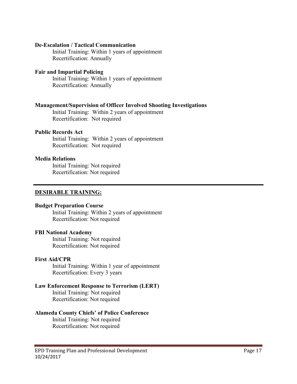#### **De-Escalation / Tactical Communication**

Initial Training: Within 1 years of appointment Recertification: Annually

#### **Fair and Impartial Policing**

Initial Training: Within 1 years of appointment Recertification: Annually

#### **Management/Supervision of Officer Involved Shooting Investigations**

Initial Training: Within 2 years of appointment Recertification: Not required

#### **Public Records Act**

Initial Training: Within 2 years of appointment Recertification: Not required

#### **Media Relations**

Initial Training: Not required Recertification: Not required

#### **DESIRABLE TRAINING:**

#### **Budget Preparation Course**

Initial Training: Within 2 years of appointment Recertification: Not required

#### **FBI National Academy**

Initial Training: Not required Recertification: Not required

#### **First Aid/CPR**

Initial Training: Within 1 year of appointment Recertification: Every 3 years

#### **Law Enforcement Response to Terrorism (LERT)**

Initial Training: Not required Recertification: Not required

#### **Alameda County Chiefs' of Police Conference**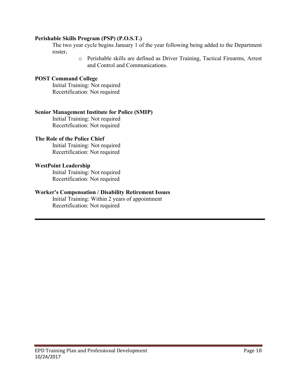#### **Perishable Skills Program (PSP) (P.O.S.T.)**

The two year cycle begins January 1 of the year following being added to the Department roster**.**

> o Perishable skills are defined as Driver Training, Tactical Firearms, Arrest and Control and Communications.

#### **POST Command College**

Initial Training: Not required Recertification: Not required

#### **Senior Management Institute for Police (SMIP)**

Initial Training: Not required Recertification: Not required

#### **The Role of the Police Chief**

Initial Training: Not required Recertification: Not required

#### **WestPoint Leadership**

Initial Training: Not required Recertification: Not required

#### **Worker's Compensation / Disability Retirement Issues**

Initial Training: Within 2 years of appointment Recertification: Not required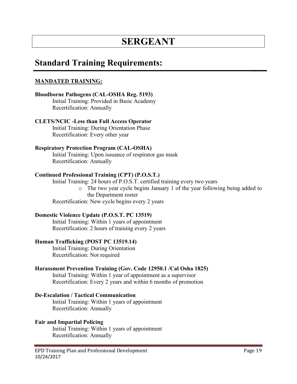# **SERGEANT**

### **Standard Training Requirements:**

#### **MANDATED TRAINING:**

#### **Bloodborne Pathogens (CAL-OSHA Reg. 5193)**

Initial Training: Provided in Basic Academy Recertification: Annually

#### **CLETS/NCIC -Less than Full Access Operator**

Initial Training: During Orientation Phase Recertification: Every other year

#### **Respiratory Protection Program (CAL-OSHA)**

Initial Training: Upon issuance of respirator gas mask Recertification: Annually

#### **Continued Professional Training (CPT) (P.O.S.T.)**

Initial Training: 24 hours of P.O.S.T. certified training every two years

o The two year cycle begins January 1 of the year following being added to the Department roster

Recertification: New cycle begins every 2 years

#### **Domestic Violence Update (P.O.S.T. PC 13519)**

Initial Training: Within 1 years of appointment Recertification: 2 hours of training every 2 years

#### **Human Trafficking (POST PC 13519.14)**

Initial Training: During Orientation Recertification: Not required

#### **Harassment Prevention Training (Gov. Code 12950.1 /Cal Osha 1825)**

Initial Training: Within 1 year of appointment as a supervisor Recertification: Every 2 years and within 6 months of promotion

#### **De-Escalation / Tactical Communication**

Initial Training: Within 1 years of appointment Recertification: Annually

#### **Fair and Impartial Policing**

Initial Training: Within 1 years of appointment Recertification: Annually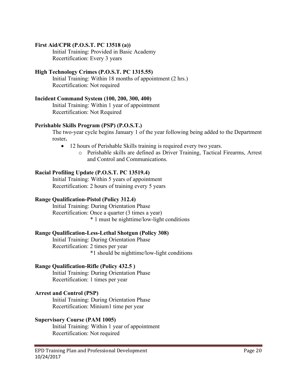#### **First Aid/CPR (P.O.S.T. PC 13518 (a))**

Initial Training: Provided in Basic Academy Recertification: Every 3 years

#### **High Technology Crimes (P.O.S.T. PC 1315.55)**

Initial Training: Within 18 months of appointment (2 hrs.) Recertification: Not required

#### **Incident Command System (100, 200, 300, 400)**

Initial Training: Within 1 year of appointment Recertification: Not Required

#### **Perishable Skills Program (PSP) (P.O.S.T.)**

The two-year cycle begins January 1 of the year following being added to the Department roster**.**

- 12 hours of Perishable Skills training is required every two years.
	- o Perishable skills are defined as Driver Training, Tactical Firearms, Arrest and Control and Communications.

#### **Racial Profiling Update (P.O.S.T. PC 13519.4)**

Initial Training: Within 5 years of appointment Recertification: 2 hours of training every 5 years

#### **Range Qualification-Pistol (Policy 312.4)**

Initial Training: During Orientation Phase Recertification: Once a quarter (3 times a year) \* 1 must be nighttime/low-light conditions

#### **Range Qualification-Less-Lethal Shotgun (Policy 308)**

Initial Training: During Orientation Phase Recertification: 2 times per year \*1 should be nighttime/low-light conditions

#### **Range Qualification-Rifle (Policy 432.5 )**

Initial Training: During Orientation Phase Recertification: 1 times per year

#### **Arrest and Control (PSP)**

Initial Training: During Orientation Phase Recertification: Minium1 time per year

#### **Supervisory Course (PAM 1005)**

Initial Training: Within 1 year of appointment Recertification: Not required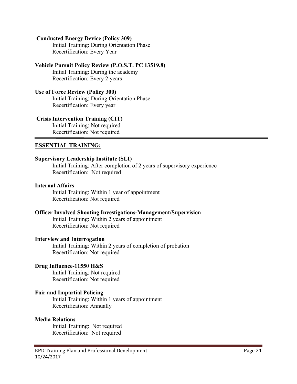#### **Conducted Energy Device (Policy 309)**

Initial Training: During Orientation Phase Recertification: Every Year

#### **Vehicle Pursuit Policy Review (P.O.S.T. PC 13519.8)**

Initial Training: During the academy Recertification: Every 2 years

#### **Use of Force Review (Policy 300)**

Initial Training: During Orientation Phase Recertification: Every year

#### **Crisis Intervention Training (CIT)**

Initial Training: Not required Recertification: Not required

#### **ESSENTIAL TRAINING:**

#### **Supervisory Leadership Institute (SLI)**

Initial Training: After completion of 2 years of supervisory experience Recertification: Not required

#### **Internal Affairs**

Initial Training: Within 1 year of appointment Recertification: Not required

#### **Officer Involved Shooting Investigations-Management/Supervision**

Initial Training: Within 2 years of appointment Recertification: Not required

#### **Interview and Interrogation**

Initial Training: Within 2 years of completion of probation Recertification: Not required

#### **Drug Influence-11550 H&S**

Initial Training: Not required Recertification: Not required

#### **Fair and Impartial Policing**

Initial Training: Within 1 years of appointment Recertification: Annually

#### **Media Relations**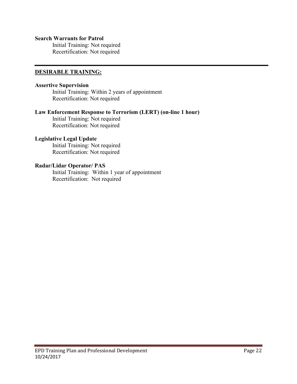#### **Search Warrants for Patrol**

Initial Training: Not required Recertification: Not required

#### **DESIRABLE TRAINING:**

#### **Assertive Supervision**

Initial Training: Within 2 years of appointment Recertification: Not required

#### **Law Enforcement Response to Terrorism (LERT) (on-line 1 hour)**

Initial Training: Not required Recertification: Not required

#### **Legislative Legal Update**

Initial Training: Not required Recertification: Not required

#### **Radar/Lidar Operator/ PAS**

Initial Training: Within 1 year of appointment Recertification: Not required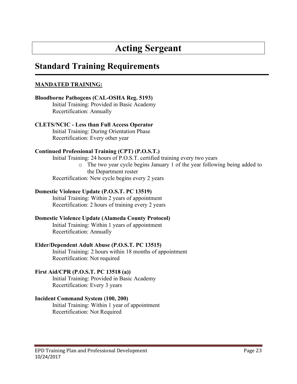# **Acting Sergeant**

### **Standard Training Requirements**

#### **MANDATED TRAINING:**

#### **Bloodborne Pathogens (CAL-OSHA Reg. 5193)** Initial Training: Provided in Basic Academy Recertification: Annually

#### **CLETS/NCIC - Less than Full Access Operator**  Initial Training: During Orientation Phase

Recertification: Every other year

#### **Continued Professional Training (CPT) (P.O.S.T.)**

Initial Training: 24 hours of P.O.S.T. certified training every two years o The two year cycle begins January 1 of the year following being added to the Department roster Recertification: New cycle begins every 2 years

#### **Domestic Violence Update (P.O.S.T. PC 13519)**

Initial Training: Within 2 years of appointment Recertification: 2 hours of training every 2 years

#### **Domestic Violence Update (Alameda County Protocol)**

Initial Training: Within 1 years of appointment Recertification: Annually

#### **Elder/Dependent Adult Abuse (P.O.S.T. PC 13515)**

Initial Training: 2 hours within 18 months of appointment Recertification: Not required

#### **First Aid/CPR (P.O.S.T. PC 13518 (a))**

Initial Training: Provided in Basic Academy Recertification: Every 3 years

#### **Incident Command System (100, 200)**

Initial Training: Within 1 year of appointment Recertification: Not Required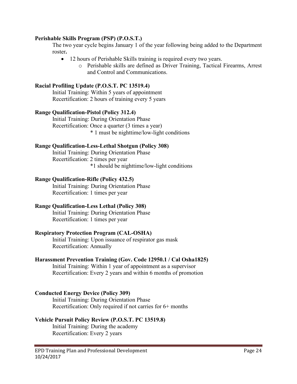#### **Perishable Skills Program (PSP) (P.O.S.T.)**

The two year cycle begins January 1 of the year following being added to the Department roster**.**

- 12 hours of Perishable Skills training is required every two years.
	- o Perishable skills are defined as Driver Training, Tactical Firearms, Arrest and Control and Communications.

#### **Racial Profiling Update (P.O.S.T. PC 13519.4)**

Initial Training: Within 5 years of appointment Recertification: 2 hours of training every 5 years

#### **Range Qualification-Pistol (Policy 312.4)**

Initial Training: During Orientation Phase Recertification: Once a quarter (3 times a year) \* 1 must be nighttime/low-light conditions

#### **Range Qualification-Less-Lethal Shotgun (Policy 308)**

Initial Training: During Orientation Phase Recertification: 2 times per year \*1 should be nighttime/low-light conditions

#### **Range Qualification-Rifle (Policy 432.5)**

Initial Training: During Orientation Phase Recertification: 1 times per year

#### **Range Qualification-Less Lethal (Policy 308)**

Initial Training: During Orientation Phase Recertification: 1 times per year

#### **Respiratory Protection Program (CAL-OSHA)**

Initial Training: Upon issuance of respirator gas mask Recertification: Annually

#### **Harassment Prevention Training (Gov. Code 12950.1 / Cal Osha1825)**

Initial Training: Within 1 year of appointment as a supervisor Recertification: Every 2 years and within 6 months of promotion

#### **Conducted Energy Device (Policy 309)**

Initial Training: During Orientation Phase Recertification: Only required if not carries for 6+ months

#### **Vehicle Pursuit Policy Review (P.O.S.T. PC 13519.8)**

Initial Training: During the academy Recertification: Every 2 years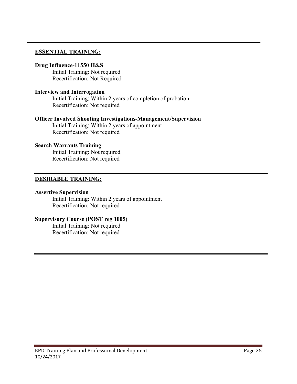#### **ESSENTIAL TRAINING:**

#### **Drug Influence-11550 H&S**

Initial Training: Not required Recertification: Not Required

#### **Interview and Interrogation**

Initial Training: Within 2 years of completion of probation Recertification: Not required

#### **Officer Involved Shooting Investigations-Management/Supervision**

Initial Training: Within 2 years of appointment Recertification: Not required

#### **Search Warrants Training**

Initial Training: Not required Recertification: Not required

#### **DESIRABLE TRAINING:**

#### **Assertive Supervision**

Initial Training: Within 2 years of appointment Recertification: Not required

#### **Supervisory Course (POST reg 1005)**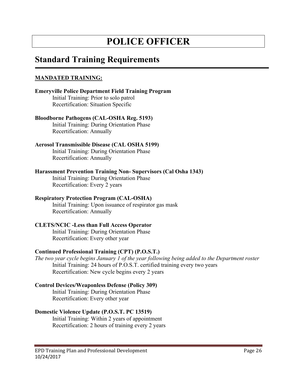# **POLICE OFFICER**

### **Standard Training Requirements**

#### **MANDATED TRAINING:**

**Emeryville Police Department Field Training Program** Initial Training: Prior to solo patrol Recertification: Situation Specific

#### **Bloodborne Pathogens (CAL-OSHA Reg. 5193)**

Initial Training: During Orientation Phase Recertification: Annually

#### **Aerosol Transmissible Disease (CAL OSHA 5199)**

Initial Training: During Orientation Phase Recertification: Annually

#### **Harassment Prevention Training Non- Supervisors (Cal Osha 1343)**

Initial Training: During Orientation Phase Recertification: Every 2 years

#### **Respiratory Protection Program (CAL-OSHA)**

Initial Training: Upon issuance of respirator gas mask Recertification: Annually

#### **CLETS/NCIC -Less than Full Access Operator**

Initial Training: During Orientation Phase Recertification: Every other year

#### **Continued Professional Training (CPT) (P.O.S.T.)**

*The two year cycle begins January 1 of the year following being added to the Department roster* Initial Training: 24 hours of P.O.S.T. certified training every two years Recertification: New cycle begins every 2 years

#### **Control Devices/Weaponless Defense (Policy 309)**

Initial Training: During Orientation Phase Recertification: Every other year

#### **Domestic Violence Update (P.O.S.T. PC 13519)**

Initial Training: Within 2 years of appointment Recertification: 2 hours of training every 2 years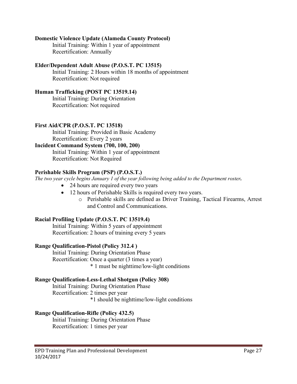#### **Domestic Violence Update (Alameda County Protocol)**

Initial Training: Within 1 year of appointment Recertification: Annually

#### **Elder/Dependent Adult Abuse (P.O.S.T. PC 13515)**

Initial Training: 2 Hours within 18 months of appointment Recertification: Not required

#### **Human Trafficking (POST PC 13519.14)**

Initial Training: During Orientation Recertification: Not required

#### **First Aid/CPR (P.O.S.T. PC 13518)**

Initial Training: Provided in Basic Academy Recertification: Every 2 years

#### **Incident Command System (700, 100, 200)**

Initial Training: Within 1 year of appointment Recertification: Not Required

#### **Perishable Skills Program (PSP) (P.O.S.T.)**

*The two year cycle begins January 1 of the year following being added to the Department roster.*

- 24 hours are required every two years
- 12 hours of Perishable Skills is required every two years.
	- o Perishable skills are defined as Driver Training, Tactical Firearms, Arrest and Control and Communications.

#### **Racial Profiling Update (P.O.S.T. PC 13519.4)**

Initial Training: Within 5 years of appointment Recertification: 2 hours of training every 5 years

#### **Range Qualification-Pistol (Policy 312.4 )**

Initial Training: During Orientation Phase Recertification: Once a quarter (3 times a year) \* 1 must be nighttime/low-light conditions

#### **Range Qualification-Less-Lethal Shotgun (Policy 308)**

Initial Training: During Orientation Phase Recertification: 2 times per year \*1 should be nighttime/low-light conditions

#### **Range Qualification-Rifle (Policy 432.5)**

Initial Training: During Orientation Phase Recertification: 1 times per year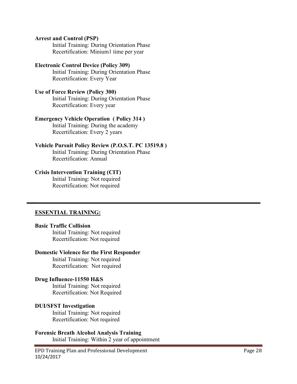#### **Arrest and Control (PSP)**

Initial Training: During Orientation Phase Recertification: Minium1 time per year

#### **Electronic Control Device (Policy 309)**

Initial Training: During Orientation Phase Recertification: Every Year

#### **Use of Force Review (Policy 300)**

Initial Training: During Orientation Phase Recertification: Every year

#### **Emergency Vehicle Operation ( Policy 314 )**

Initial Training: During the academy Recertification: Every 2 years

#### **Vehicle Pursuit Policy Review (P.O.S.T. PC 13519.8 )**

Initial Training: During Orientation Phase Recertification: Annual

#### **Crisis Intervention Training (CIT)**

Initial Training: Not required Recertification: Not required

#### **ESSENTIAL TRAINING:**

#### **Basic Traffic Collision**

Initial Training: Not required Recertification: Not required

#### **Domestic Violence for the First Responder**

Initial Training: Not required Recertification: Not required

#### **Drug Influence-11550 H&S**

Initial Training: Not required Recertification: Not Required

#### **DUI/SFST Investigation**

Initial Training: Not required Recertification: Not required

## **Forensic Breath Alcohol Analysis Training**

Initial Training: Within 2 year of appointment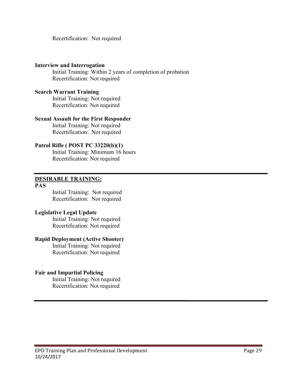Recertification: Not required

#### **Interview and Interrogation**

Initial Training: Within 2 years of completion of probation Recertification: Not required

#### **Search Warrant Training**

Initial Training: Not required Recertification: Not required

#### **Sexual Assault for the First Responder**

Initial Training: Not required Recertification: Not required

#### **Patrol Rifle ( POST PC 33220(b)(1)**

Initial Training: Minimum 16 hours Recertification: Not required

#### **DESIRABLE TRAINING:**

#### **PAS**

Initial Training: Not required Recertification: Not required

#### **Legislative Legal Update**

Initial Training: Not required Recertification: Not required

#### **Rapid Deployment (Active Shooter)**

Initial Training: Not required Recertification: Not required

#### **Fair and Impartial Policing**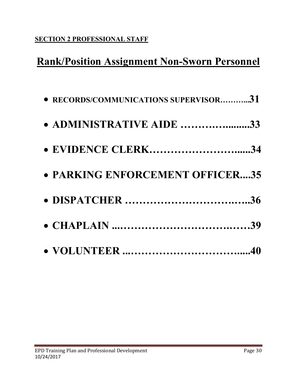### **SECTION 2 PROFESSIONAL STAFF**

# **Rank/Position Assignment Non-Sworn Personnel**

| • RECORDS/COMMUNICATIONS SUPERVISOR31 |  |
|---------------------------------------|--|
| • ADMINISTRATIVE AIDE 33              |  |
| • EVIDENCE CLERK34                    |  |
| • PARKING ENFORCEMENT OFFICER35       |  |
|                                       |  |
|                                       |  |
|                                       |  |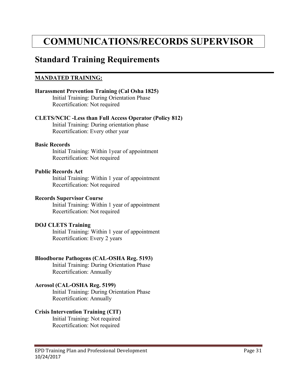# **COMMUNICATIONS/RECORDS SUPERVISOR**

### **Standard Training Requirements**

#### **MANDATED TRAINING:**

#### **Harassment Prevention Training (Cal Osha 1825)**

Initial Training: During Orientation Phase Recertification: Not required

#### **CLETS/NCIC -Less than Full Access Operator (Policy 812)**

Initial Training: During orientation phase Recertification: Every other year

#### **Basic Records**

Initial Training: Within 1year of appointment Recertification: Not required

#### **Public Records Act**

Initial Training: Within 1 year of appointment Recertification: Not required

#### **Records Supervisor Course**

Initial Training: Within 1 year of appointment Recertification: Not required

#### **DOJ CLETS Training**

Initial Training: Within 1 year of appointment Recertification: Every 2 years

#### **Bloodborne Pathogens (CAL-OSHA Reg. 5193)**

Initial Training: During Orientation Phase Recertification: Annually

#### **Aerosol (CAL-OSHA Reg. 5199)**

Initial Training: During Orientation Phase Recertification: Annually

#### **Crisis Intervention Training (CIT)**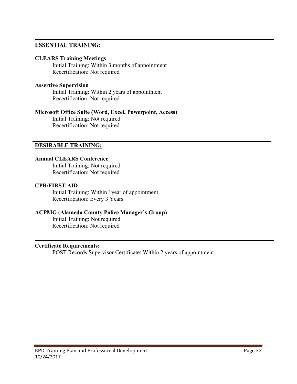#### **ESSENTIAL TRAINING:**

#### **CLEARS Training Meetings**

Initial Training: Within 3 months of appointment Recertification: Not required

#### **Assertive Supervision**

Initial Training: Within 2 years of appointment Recertification: Not required

#### **Microsoft Office Suite (Word, Excel, Powerpoint, Access)**

Initial Training: Not required Recertification: Not required

#### **DESIRABLE TRAINING:**

#### **Annual CLEARS Conference**

Initial Training: Not required Recertification: Not required

#### **CPR/FIRST AID**

Initial Training: Within 1year of appointment Recertification: Every 3 Years

#### **ACPMG (Alameda County Police Manager's Group)**

Initial Training: Not required Recertification: Not required

#### **Certificate Requirements:**

POST Records Supervisor Certificate: Within 2 years of appointment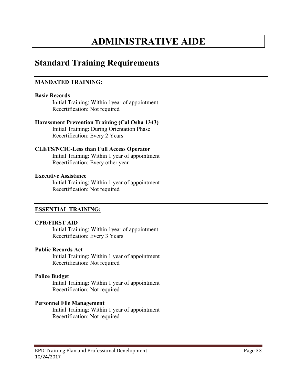# **ADMINISTRATIVE AIDE**

### **Standard Training Requirements**

#### **MANDATED TRAINING:**

#### **Basic Records**

Initial Training: Within 1year of appointment Recertification: Not required

#### **Harassment Prevention Training (Cal Osha 1343)**

Initial Training: During Orientation Phase Recertification: Every 2 Years

#### **CLETS/NCIC-Less than Full Access Operator**

Initial Training: Within 1 year of appointment Recertification: Every other year

#### **Executive Assistance**

Initial Training: Within 1 year of appointment Recertification: Not required

#### **ESSENTIAL TRAINING:**

#### **CPR/FIRST AID**

Initial Training: Within 1year of appointment Recertification: Every 3 Years

#### **Public Records Act**

Initial Training: Within 1 year of appointment Recertification: Not required

#### **Police Budget**

Initial Training: Within 1 year of appointment Recertification: Not required

#### **Personnel File Management**

Initial Training: Within 1 year of appointment Recertification: Not required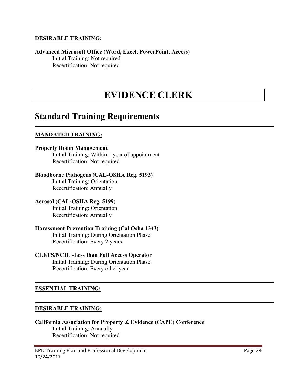#### **DESIRABLE TRAINING:**

#### **Advanced Microsoft Office (Word, Excel, PowerPoint, Access)** Initial Training: Not required Recertification: Not required

# **EVIDENCE CLERK**

### **Standard Training Requirements**

#### **MANDATED TRAINING:**

#### **Property Room Management**

Initial Training: Within 1 year of appointment Recertification: Not required

#### **Bloodborne Pathogens (CAL-OSHA Reg. 5193)**

Initial Training: Orientation Recertification: Annually

#### **Aerosol (CAL-OSHA Reg. 5199)**

Initial Training: Orientation Recertification: Annually

#### **Harassment Prevention Training (Cal Osha 1343)**

Initial Training: During Orientation Phase Recertification: Every 2 years

#### **CLETS/NCIC -Less than Full Access Operator**

Initial Training: During Orientation Phase Recertification: Every other year

#### **ESSENTIAL TRAINING:**

#### **DESIRABLE TRAINING:**

#### **California Association for Property & Evidence (CAPE) Conference** Initial Training: Annually Recertification: Not required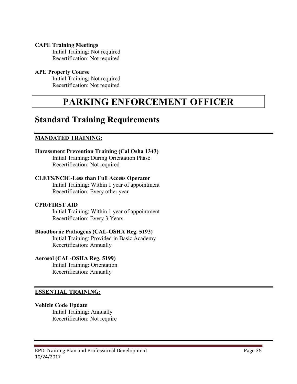#### **CAPE Training Meetings**

Initial Training: Not required Recertification: Not required

#### **APE Property Course**

Initial Training: Not required Recertification: Not required

# **PARKING ENFORCEMENT OFFICER**

### **Standard Training Requirements**

#### **MANDATED TRAINING:**

#### **Harassment Prevention Training (Cal Osha 1343)**

Initial Training: During Orientation Phase Recertification: Not required

#### **CLETS/NCIC-Less than Full Access Operator**

Initial Training: Within 1 year of appointment Recertification: Every other year

#### **CPR/FIRST AID**

Initial Training: Within 1 year of appointment Recertification: Every 3 Years

#### **Bloodborne Pathogens (CAL-OSHA Reg. 5193)**

Initial Training: Provided in Basic Academy Recertification: Annually

#### **Aerosol (CAL-OSHA Reg. 5199)**

Initial Training: Orientation Recertification: Annually

#### **ESSENTIAL TRAINING:**

#### **Vehicle Code Update**

Initial Training: Annually Recertification: Not require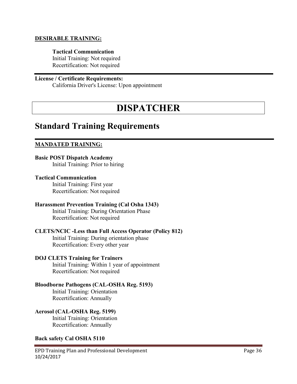#### **DESIRABLE TRAINING:**

#### **Tactical Communication**

Initial Training: Not required Recertification: Not required

#### **License / Certificate Requirements:**

California Driver's License: Upon appointment

# **DISPATCHER**

### **Standard Training Requirements**

#### **MANDATED TRAINING:**

#### **Basic POST Dispatch Academy** Initial Training: Prior to hiring

#### **Tactical Communication**

Initial Training: First year Recertification: Not required

#### **Harassment Prevention Training (Cal Osha 1343)**

Initial Training: During Orientation Phase Recertification: Not required

#### **CLETS/NCIC -Less than Full Access Operator (Policy 812)**

Initial Training: During orientation phase Recertification: Every other year

#### **DOJ CLETS Training for Trainers**

Initial Training: Within 1 year of appointment Recertification: Not required

#### **Bloodborne Pathogens (CAL-OSHA Reg. 5193)**

Initial Training: Orientation Recertification: Annually

#### **Aerosol (CAL-OSHA Reg. 5199)**

Initial Training: Orientation Recertification: Annually

#### **Back safety Cal OSHA 5110**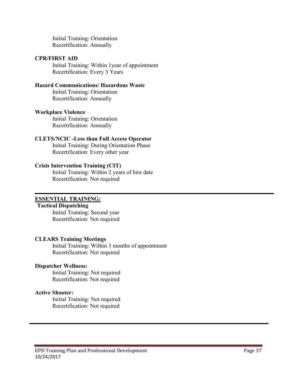Initial Training: Orientation Recertification: Annually

#### **CPR/FIRST AID**

Initial Training: Within 1year of appointment Recertification: Every 3 Years

#### **Hazard Communications/ Hazardous Waste**

Initial Training: Orientation Recertification: Annually

#### **Workplace Violence**

Initial Training: Orientation Recertification: Annually

#### **CLETS/NCIC -Less than Full Access Operator**

Initial Training: During Orientation Phase Recertification: Every other year

#### **Crisis Intervention Training (CIT)**

Initial Training: Within 2 years of hire date Recertification: Not required

#### **ESSENTIAL TRAINING:**

#### **Tactical Dispatching**

Initial Training: Second year Recertification: Not required

#### **CLEARS Training Meetings**

Initial Training: Within 3 months of appointment Recertification: Not required

#### **Dispatcher Wellness:**

Initial Training: Not required Recertification: Not required

#### **Active Shooter:**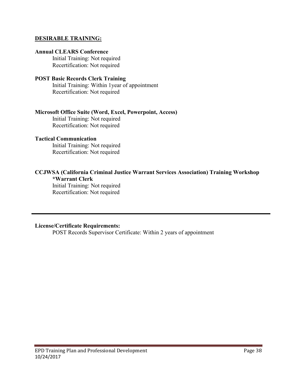#### **DESIRABLE TRAINING:**

#### **Annual CLEARS Conference**

Initial Training: Not required Recertification: Not required

#### **POST Basic Records Clerk Training**

Initial Training: Within 1year of appointment Recertification: Not required

#### **Microsoft Office Suite (Word, Excel, Powerpoint, Access)**

Initial Training: Not required Recertification: Not required

#### **Tactical Communication**

Initial Training: Not required Recertification: Not required

#### **CCJWSA (California Criminal Justice Warrant Services Association) Training Workshop \*Warrant Clerk**

Initial Training: Not required Recertification: Not required

#### **License/Certificate Requirements:**

POST Records Supervisor Certificate: Within 2 years of appointment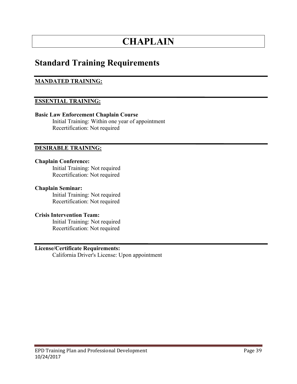# **CHAPLAIN**

### **Standard Training Requirements**

#### **MANDATED TRAINING:**

#### **ESSENTIAL TRAINING:**

#### **Basic Law Enforcement Chaplain Course**

Initial Training: Within one year of appointment Recertification: Not required

#### **DESIRABLE TRAINING:**

#### **Chaplain Conference:**

Initial Training: Not required Recertification: Not required

#### **Chaplain Seminar:**

Initial Training: Not required Recertification: Not required

#### **Crisis Intervention Team:**

Initial Training: Not required Recertification: Not required

#### **License/Certificate Requirements:**

California Driver's License: Upon appointment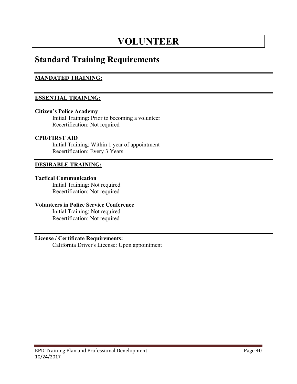# **VOLUNTEER**

### **Standard Training Requirements**

#### **MANDATED TRAINING:**

#### **ESSENTIAL TRAINING:**

#### **Citizen's Police Academy**

Initial Training: Prior to becoming a volunteer Recertification: Not required

#### **CPR/FIRST AID**

Initial Training: Within 1 year of appointment Recertification: Every 3 Years

#### **DESIRABLE TRAINING:**

#### **Tactical Communication**

Initial Training: Not required Recertification: Not required

#### **Volunteers in Police Service Conference**

Initial Training: Not required Recertification: Not required

#### **License / Certificate Requirements:**

California Driver's License: Upon appointment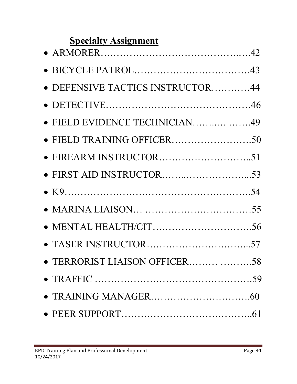# **Specialty Assignment**

| • DEFENSIVE TACTICS INSTRUCTOR44 |  |
|----------------------------------|--|
|                                  |  |
| • FIELD EVIDENCE TECHNICIAN49    |  |
| • FIELD TRAINING OFFICER50       |  |
|                                  |  |
|                                  |  |
|                                  |  |
|                                  |  |
| • MENTAL HEALTH/CIT56            |  |
|                                  |  |
| · TERRORIST LIAISON OFFICER 58   |  |
|                                  |  |
|                                  |  |
|                                  |  |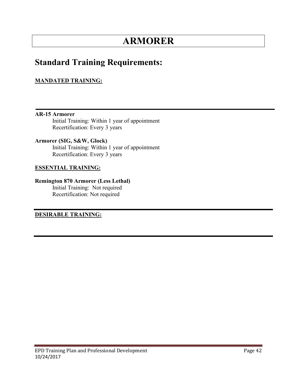# **ARMORER**

### **Standard Training Requirements:**

#### **MANDATED TRAINING:**

**AR-15 Armorer** Initial Training: Within 1 year of appointment Recertification: Every 3 years

**Armorer (SIG, S&W, Glock)** Initial Training: Within 1 year of appointment Recertification: Every 3 years

#### **ESSENTIAL TRAINING:**

**Remington 870 Armorer (Less Lethal)** Initial Training: Not required Recertification: Not required

**DESIRABLE TRAINING:**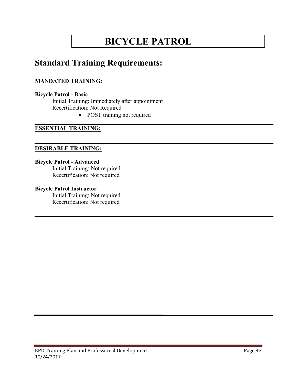# **BICYCLE PATROL**

### **Standard Training Requirements:**

#### **MANDATED TRAINING:**

#### **Bicycle Patrol - Basic**

Initial Training: Immediately after appointment Recertification: Not Required

• POST training not required

#### **ESSENTIAL TRAINING:**

#### **DESIRABLE TRAINING:**

#### **Bicycle Patrol - Advanced**

Initial Training: Not required Recertification: Not required

#### **Bicycle Patrol Instructor**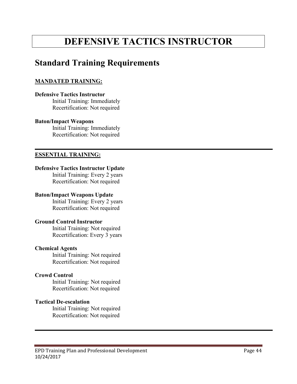# **DEFENSIVE TACTICS INSTRUCTOR**

### **Standard Training Requirements**

#### **MANDATED TRAINING:**

#### **Defensive Tactics Instructor**

Initial Training: Immediately Recertification: Not required

#### **Baton/Impact Weapons**

Initial Training: Immediately Recertification: Not required

#### **ESSENTIAL TRAINING:**

#### **Defensive Tactics Instructor Update**

Initial Training: Every 2 years Recertification: Not required

#### **Baton/Impact Weapons Update**

Initial Training: Every 2 years Recertification: Not required

#### **Ground Control Instructor**

Initial Training: Not required Recertification: Every 3 years

#### **Chemical Agents**

Initial Training: Not required Recertification: Not required

#### **Crowd Control**

Initial Training: Not required Recertification: Not required

#### **Tactical De-escalation**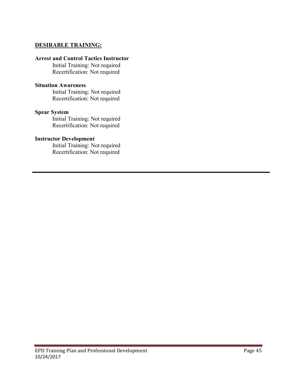#### **DESIRABLE TRAINING:**

#### **Arrest and Control Tactics Instructor**

Initial Training: Not required Recertification: Not required

#### **Situation Awareness**

Initial Training: Not required Recertification: Not required

#### **Spear System**

Initial Training: Not required Recertification: Not required

#### **Instructor Development**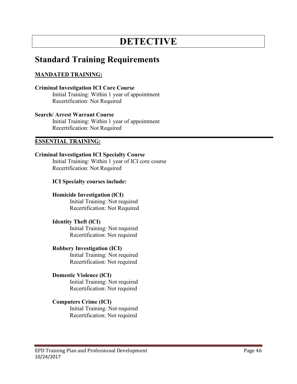# **DETECTIVE**

### **Standard Training Requirements**

#### **MANDATED TRAINING:**

#### **Criminal Investigation ICI Core Course**

Initial Training: Within 1 year of appointment Recertification: Not Required

#### **Search/ Arrest Warrant Course**

Initial Training: Within 1 year of appointment Recertification: Not Required

#### **ESSENTIAL TRAINING:**

#### **Criminal Investigation ICI Specialty Course**

Initial Training: Within 1 year of ICI core course Recertification: Not Required

#### **ICI Specialty courses include:**

#### **Homicide Investigation (lCI)**

Initial Training: Not required Recertification: Not Required

#### **Identity Theft (lCI)**

Initial Training: Not required Recertification: Not required

#### **Robbery Investigation (ICI)**

Initial Training: Not required Recertification: Not required

#### **Domestic Violence (lCI)**

Initial Training: Not required Recertification: Not required

#### **Computers Crime (ICI)**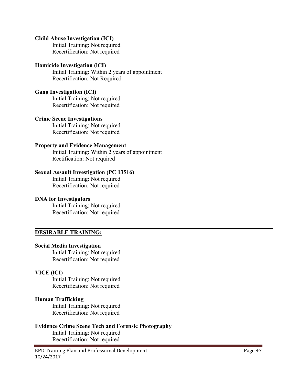#### **Child Abuse Investigation (ICI)**

Initial Training: Not required Recertification: Not required

#### **Homicide Investigation (lCI)**

Initial Training: Within 2 years of appointment Recertification: Not Required

#### **Gang Investigation (ICI)**

Initial Training: Not required Recertification: Not required

#### **Crime Scene Investigations**

Initial Training: Not required Recertification: Not required

#### **Property and Evidence Management**

Initial Training: Within 2 years of appointment Rectification: Not required

#### **Sexual Assault Investigation (PC 13516)**

Initial Training: Not required Recertification: Not required

#### **DNA for Investigators**

Initial Training: Not required Recertification: Not required

#### **DESIRABLE TRAINING:**

#### **Social Media Investigation**

Initial Training: Not required Recertification: Not required

#### **VICE (lCI)**

Initial Training: Not required Recertification: Not required

#### **Human Trafficking**

Initial Training: Not required Recertification: Not required

#### **Evidence Crime Scene Tech and Forensic Photography**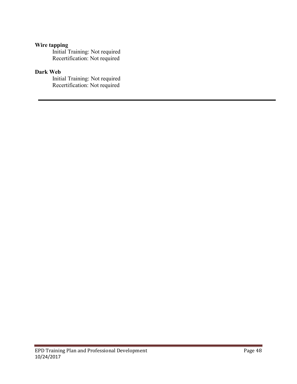#### **Wire tapping**

Initial Training: Not required Recertification: Not required

#### **Dark Web**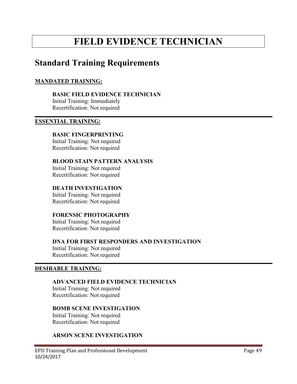# **FIELD EVIDENCE TECHNICIAN**

### **Standard Training Requirements**

#### **MANDATED TRAINING:**

**BASIC FIELD EVIDENCE TECHNICIAN** 

Initial Training: Immediately Recertification: Not required

#### **ESSENTIAL TRAINING:**

#### **BASIC FINGERPRINTING**

Initial Training: Not required Recertification: Not required

#### **BLOOD STAIN PATTERN ANALYSIS**

Initial Training: Not required Recertification: Not required

#### **DEATH INVESTIGATION**

Initial Training: Not required Recertification: Not required

#### **FORENSIC PHOTOGRAPHY**

Initial Training: Not required Recertification: Not required

#### **DNA FOR FIRST RESPONDERS AND INVESTIGATION**

Initial Training: Not required Recertification: Not required

#### **DESIRABLE TRAINING:**

#### **ADVANCED FIELD EVIDENCE TECHNICIAN**

Initial Training: Not required Recertification: Not required

#### **BOMB SCENE INVESTIGATION**

Initial Training: Not required Recertification: Not required

#### **ARSON SCENE INVESTIGATION**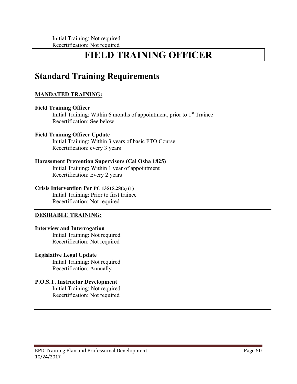# **FIELD TRAINING OFFICER**

## **Standard Training Requirements**

#### **MANDATED TRAINING:**

#### **Field Training Officer**

Initial Training: Within 6 months of appointment, prior to  $1<sup>st</sup>$  Trainee Recertification: See below

#### **Field Training Officer Update**

Initial Training: Within 3 years of basic FTO Course Recertification: every 3 years

#### **Harassment Prevention Supervisors (Cal Osha 1825)**

Initial Training: Within 1 year of appointment Recertification: Every 2 years

#### **Crisis Intervention Per PC 13515.28(a) (1)**

Initial Training: Prior to first trainee Recertification: Not required

#### **DESIRABLE TRAINING:**

#### **Interview and Interrogation**

Initial Training: Not required Recertification: Not required

#### **Legislative Legal Update**

Initial Training: Not required Recertification: Annually

#### **P.O.S.T. Instructor Development**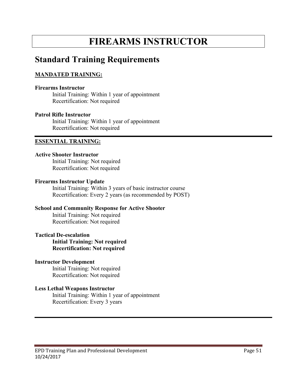# **FIREARMS INSTRUCTOR**

### **Standard Training Requirements**

#### **MANDATED TRAINING:**

#### **Firearms Instructor**

Initial Training: Within 1 year of appointment Recertification: Not required

#### **Patrol Rifle Instructor**

Initial Training: Within 1 year of appointment Recertification: Not required

#### **ESSENTIAL TRAINING:**

#### **Active Shooter Instructor**

Initial Training: Not required Recertification: Not required

#### **Firearms Instructor Update**

Initial Training: Within 3 years of basic instructor course Recertification: Every 2 years (as recommended by POST)

#### **School and Community Response for Active Shooter**

Initial Training: Not required Recertification: Not required

#### **Tactical De-escalation**

**Initial Training: Not required Recertification: Not required**

#### **Instructor Development**

Initial Training: Not required Recertification: Not required

#### **Less Lethal Weapons Instructor**

Initial Training: Within 1 year of appointment Recertification: Every 3 years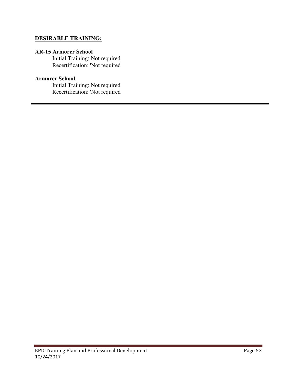#### **DESIRABLE TRAINING:**

#### **AR-15 Armorer School**

Initial Training: Not required Recertification: 'Not required

#### **Armorer School**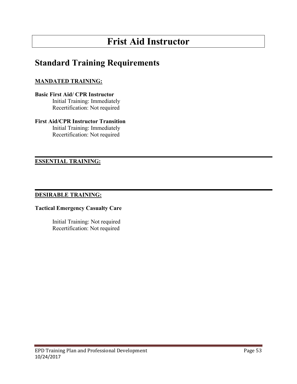# **Frist Aid Instructor**

# **Standard Training Requirements**

#### **MANDATED TRAINING:**

#### **Basic First Aid/ CPR Instructor**

Initial Training: Immediately Recertification: Not required

#### **First Aid/CPR Instructor Transition**

Initial Training: Immediately Recertification: Not required

#### **ESSENTIAL TRAINING:**

#### **DESIRABLE TRAINING:**

#### **Tactical Emergency Casualty Care**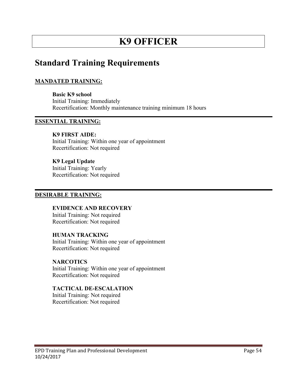# **K9 OFFICER**

### **Standard Training Requirements**

#### **MANDATED TRAINING:**

**Basic K9 school** Initial Training: Immediately Recertification: Monthly maintenance training minimum 18 hours

#### **ESSENTIAL TRAINING:**

#### **K9 FIRST AIDE:**

Initial Training: Within one year of appointment Recertification: Not required

#### **K9 Legal Update**

Initial Training: Yearly Recertification: Not required

#### **DESIRABLE TRAINING:**

**EVIDENCE AND RECOVERY**  Initial Training: Not required Recertification: Not required

#### **HUMAN TRACKING**

Initial Training: Within one year of appointment Recertification: Not required

#### **NARCOTICS**

Initial Training: Within one year of appointment Recertification: Not required

#### **TACTICAL DE-ESCALATION**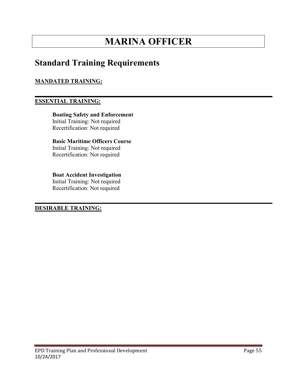# **MARINA OFFICER**

### **Standard Training Requirements**

#### **MANDATED TRAINING:**

#### **ESSENTIAL TRAINING:**

**Boating Safety and Enforcement**  Initial Training: Not required Recertification: Not required

**Basic Maritime Officers Course**  Initial Training: Not required Recertification: Not required

**Boat Accident Investigation**  Initial Training: Not required Recertification: Not required

**DESIRABLE TRAINING:**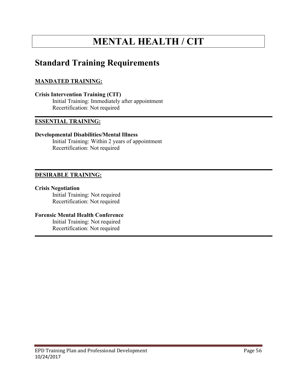# **MENTAL HEALTH / CIT**

## **Standard Training Requirements**

#### **MANDATED TRAINING:**

**Crisis Intervention Training (CIT)**  Initial Training: Immediately after appointment Recertification: Not required

#### **ESSENTIAL TRAINING:**

#### **Developmental Disabilities/Mental Illness**

Initial Training: Within 2 years of appointment Recertification: Not required

#### **DESIRABLE TRAINING:**

#### **Crisis Negotiation**

Initial Training: Not required Recertification: Not required

#### **Forensic Mental Health Conference**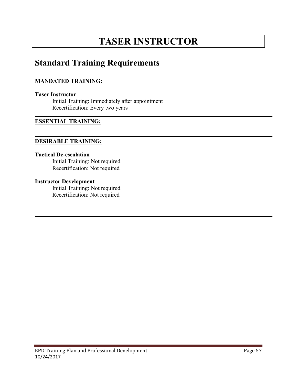# **TASER INSTRUCTOR**

### **Standard Training Requirements**

#### **MANDATED TRAINING:**

#### **Taser Instructor**

Initial Training: Immediately after appointment Recertification: Every two years

#### **ESSENTIAL TRAINING:**

#### **DESIRABLE TRAINING:**

#### **Tactical De-escalation**

Initial Training: Not required Recertification: Not required

#### **Instructor Development**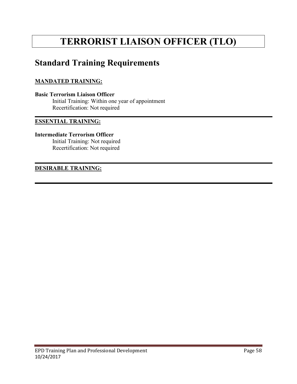# **TERRORIST LIAISON OFFICER (TLO)**

## **Standard Training Requirements**

#### **MANDATED TRAINING:**

**Basic Terrorism Liaison Officer** Initial Training: Within one year of appointment Recertification: Not required

#### **ESSENTIAL TRAINING:**

#### **Intermediate Terrorism Officer**

Initial Training: Not required Recertification: Not required

#### **DESIRABLE TRAINING:**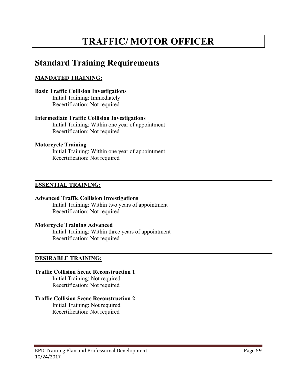# **TRAFFIC/ MOTOR OFFICER**

## **Standard Training Requirements**

#### **MANDATED TRAINING:**

#### **Basic Traffic Collision Investigations**  Initial Training: Immediately

Recertification: Not required

#### **Intermediate Traffic Collision Investigations**

Initial Training: Within one year of appointment Recertification: Not required

#### **Motorcycle Training**

Initial Training: Within one year of appointment Recertification: Not required

#### **ESSENTIAL TRAINING:**

#### **Advanced Traffic Collision Investigations**

Initial Training: Within two years of appointment Recertification: Not required

#### **Motorcycle Training Advanced**

Initial Training: Within three years of appointment Recertification: Not required

#### **DESIRABLE TRAINING:**

#### **Traffic Collision Scene Reconstruction 1**

Initial Training: Not required Recertification: Not required

#### **Traffic Collision Scene Reconstruction 2**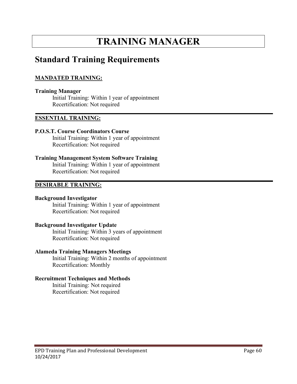# **TRAINING MANAGER**

### **Standard Training Requirements**

#### **MANDATED TRAINING:**

#### **Training Manager**

Initial Training: Within 1 year of appointment Recertification: Not required

#### **ESSENTIAL TRAINING:**

#### **P.O.S.T. Course Coordinators Course**

Initial Training: Within 1 year of appointment Recertification: Not required

#### **Training Management System Software Training**

Initial Training: Within 1 year of appointment Recertification: Not required

#### **DESIRABLE TRAINING:**

#### **Background Investigator**

Initial Training: Within 1 year of appointment Recertification: Not required

#### **Background Investigator Update**

Initial Training: Within 3 years of appointment Recertification: Not required

#### **Alameda Training Managers Meetings**

Initial Training: Within 2 months of appointment Recertification: Monthly

#### **Recruitment Techniques and Methods**